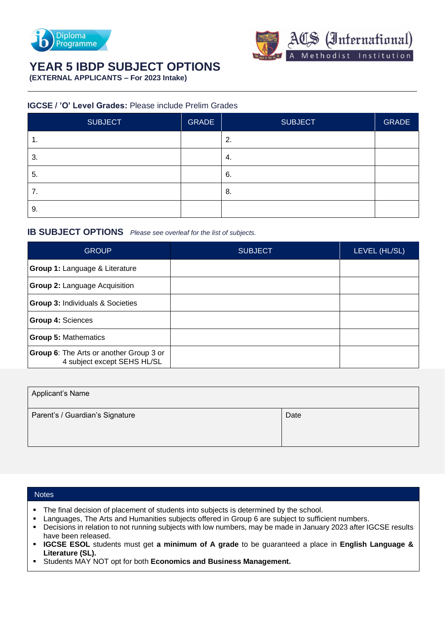



## **YEAR 5 IBDP SUBJECT OPTIONS**

**(EXTERNAL APPLICANTS – For 2023 Intake)**

## **IGCSE / 'O' Level Grades:** Please include Prelim Grades

| SUBJECT | <b>GRADE</b> | <b>SUBJECT</b> | <b>GRADE</b> |
|---------|--------------|----------------|--------------|
| ι.      |              | 2.             |              |
| 3.      |              | -4.            |              |
| 5.      |              | 6.             |              |
| 7.      |              | 8.             |              |
| 9.      |              |                |              |

## **IB SUBJECT OPTIONS** *Please see overleaf for the list of subjects.*

| <b>GROUP</b>                                                           | <b>SUBJECT</b> | LEVEL (HL/SL) |
|------------------------------------------------------------------------|----------------|---------------|
| Group 1: Language & Literature                                         |                |               |
| <b>Group 2: Language Acquisition</b>                                   |                |               |
| <b>Group 3: Individuals &amp; Societies</b>                            |                |               |
| <b>Group 4: Sciences</b>                                               |                |               |
| <b>Group 5: Mathematics</b>                                            |                |               |
| Group 6: The Arts or another Group 3 or<br>4 subject except SEHS HL/SL |                |               |

| Applicant's Name                |      |
|---------------------------------|------|
| Parent's / Guardian's Signature | Date |

## **Notes**

- The final decision of placement of students into subjects is determined by the school.
- Languages, The Arts and Humanities subjects offered in Group 6 are subject to sufficient numbers.
- Decisions in relation to not running subjects with low numbers, may be made in January 2023 after IGCSE results have been released.
- **IGCSE ESOL** students must get **a minimum of A grade** to be guaranteed a place in **English Language & Literature (SL).**
- Students MAY NOT opt for both **Economics and Business Management.**